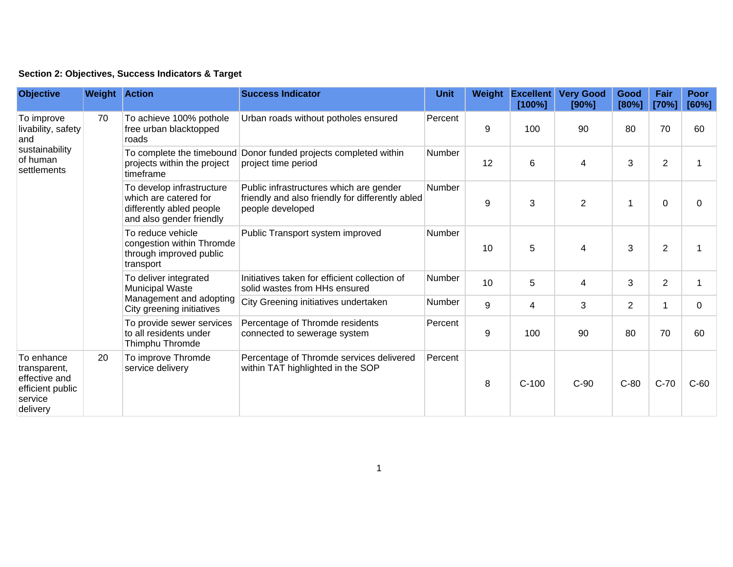| Section 2: Objectives, Success Indicators & Target |  |  |  |  |  |  |
|----------------------------------------------------|--|--|--|--|--|--|
|----------------------------------------------------|--|--|--|--|--|--|

| <b>Objective</b>                                                                       | <b>Weight Action</b> |                                                                                                            | <b>Success Indicator</b>                                                                                        | <b>Unit</b>   | Weight | <b>Excellent</b><br>[100%] | <b>Very Good</b><br>[90%] | Good<br>[80%]  | Fair<br>[70%]  | <b>Poor</b><br>[60%] |
|----------------------------------------------------------------------------------------|----------------------|------------------------------------------------------------------------------------------------------------|-----------------------------------------------------------------------------------------------------------------|---------------|--------|----------------------------|---------------------------|----------------|----------------|----------------------|
| To improve<br>livability, safety<br>and<br>sustainability<br>of human<br>settlements   | 70                   | To achieve 100% pothole<br>free urban blacktopped<br>roads                                                 | Urban roads without potholes ensured                                                                            | Percent       | 9      | 100                        | 90                        | 80             | 70             | 60                   |
|                                                                                        |                      | To complete the timebound<br>projects within the project<br>timeframe                                      | Donor funded projects completed within<br>project time period                                                   | Number        | 12     | 6                          | $\overline{\mathbf{4}}$   | 3              | $\overline{2}$ |                      |
|                                                                                        |                      | To develop infrastructure<br>which are catered for<br>differently abled people<br>and also gender friendly | Public infrastructures which are gender<br>friendly and also friendly for differently abled<br>people developed | Number        | 9      | 3                          | $\overline{2}$            | 1              | 0              | 0                    |
|                                                                                        |                      | To reduce vehicle<br>congestion within Thromde<br>through improved public<br>transport                     | Public Transport system improved                                                                                | <b>Number</b> | 10     | 5                          | 4                         | 3              | $\overline{2}$ |                      |
|                                                                                        |                      | To deliver integrated<br><b>Municipal Waste</b><br>Management and adopting<br>City greening initiatives    | Initiatives taken for efficient collection of<br>solid wastes from HHs ensured                                  | Number        | 10     | 5                          | 4                         | 3              | $\overline{2}$ |                      |
|                                                                                        |                      |                                                                                                            | City Greening initiatives undertaken                                                                            | Number        | 9      | 4                          | 3                         | $\overline{2}$ | 1              | $\Omega$             |
|                                                                                        |                      | To provide sewer services<br>to all residents under<br>Thimphu Thromde                                     | Percentage of Thromde residents<br>connected to sewerage system                                                 | Percent       | 9      | 100                        | 90                        | 80             | 70             | 60                   |
| To enhance<br>transparent,<br>effective and<br>efficient public<br>service<br>delivery | 20                   | To improve Thromde<br>service delivery                                                                     | Percentage of Thromde services delivered<br>within TAT highlighted in the SOP                                   | Percent       | 8      | $C-100$                    | $C-90$                    | $C-80$         | $C-70$         | $C-60$               |